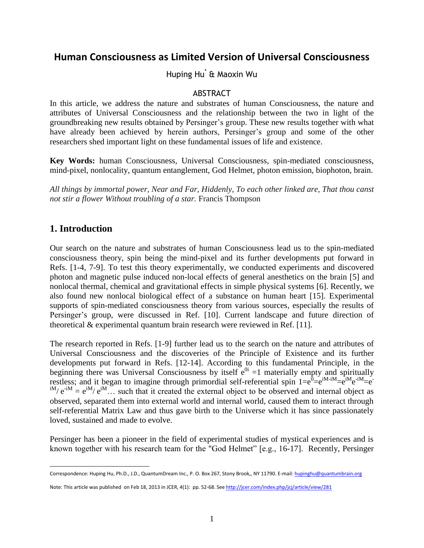# **Human Consciousness as Limited Version of Universal Consciousness**

Huping Hu\* & Maoxin Wu

#### ABSTRACT

In this article, we address the nature and substrates of human Consciousness, the nature and attributes of Universal Consciousness and the relationship between the two in light of the groundbreaking new results obtained by Persinger's group. These new results together with what have already been achieved by herein authors, Persinger's group and some of the other researchers shed important light on these fundamental issues of life and existence.

**Key Words:** human Consciousness, Universal Consciousness, spin-mediated consciousness, mind-pixel, nonlocality, quantum entanglement, God Helmet, photon emission, biophoton, brain.

*All things by immortal power, Near and Far, Hiddenly, To each other linked are, That thou canst not stir a flower Without troubling of a star.* Francis Thompson

### **1. Introduction**

 $\overline{a}$ 

Our search on the nature and substrates of human Consciousness lead us to the spin-mediated consciousness theory, spin being the mind-pixel and its further developments put forward in Refs. [1-4, 7-9]. To test this theory experimentally, we conducted experiments and discovered photon and magnetic pulse induced non-local effects of general anesthetics on the brain [5] and nonlocal thermal, chemical and gravitational effects in simple physical systems [6]. Recently, we also found new nonlocal biological effect of a substance on human heart [15]. Experimental supports of spin-mediated consciousness theory from various sources, especially the results of Persinger's group, were discussed in Ref. [10]. Current landscape and future direction of theoretical & experimental quantum brain research were reviewed in Ref. [11].

The research reported in Refs. [1-9] further lead us to the search on the nature and attributes of Universal Consciousness and the discoveries of the Principle of Existence and its further developments put forward in Refs. [12-14]. According to this fundamental Principle, in the beginning there was Universal Consciousness by itself  $e^{0i} = 1$  materially empty and spiritually restless; and it began to imagine through primordial self-referential spin  $1=e^0 = e^{iM-iM} = e^{-iM}e^{-iM} = e^{-iM}$  $\mathbf{e}^{\mathbf{i} \mathbf{M}}$  =  $\mathbf{e}^{\mathbf{i} \mathbf{M}}$ . such that it created the external object to be observed and internal object as observed, separated them into external world and internal world, caused them to interact through self-referential Matrix Law and thus gave birth to the Universe which it has since passionately loved, sustained and made to evolve.

Persinger has been a pioneer in the field of experimental studies of mystical experiences and is known together with his research team for the "God Helmet" [e.g., 16-17]. Recently, Persinger

Correspondence: Huping Hu, Ph.D., J.D., QuantumDream Inc., P. O. Box 267, Stony Brook,, NY 11790. E-mail[: hupinghu@quantumbrain.org](mailto:hupinghu@quantumbrain.org)

Note: This article was published on Feb 18, 2013 in JCER, 4(1): pp. 52-68. See <http://jcer.com/index.php/jcj/article/view/281>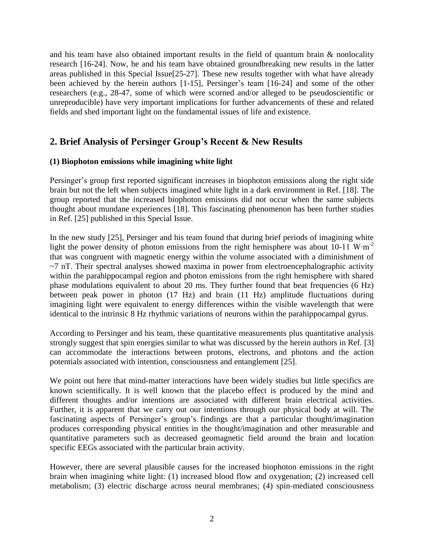and his team have also obtained important results in the field of quantum brain & nonlocality research [16-24]. Now, he and his team have obtained groundbreaking new results in the latter areas published in this Special Issue[25-27]. These new results together with what have already been achieved by the herein authors [1-15], Persinger's team [16-24] and some of the other researchers (e.g., 28-47, some of which were scorned and/or alleged to be pseudoscientific or unreproducible) have very important implications for further advancements of these and related fields and shed important light on the fundamental issues of life and existence.

## **2. Brief Analysis of Persinger Group's Recent & New Results**

#### **(1) Biophoton emissions while imagining white light**

Persinger's group first reported significant increases in biophoton emissions along the right side brain but not the left when subjects imagined white light in a dark environment in Ref. [18]. The group reported that the increased biophoton emissions did not occur when the same subjects thought about mundane experiences [18]. This fascinating phenomenon has been further studies in Ref. [25] published in this Special Issue.

In the new study [25], Persinger and his team found that during brief periods of imagining white light the power density of photon emissions from the right hemisphere was about 10-11 W⋅m<sup>-2</sup> that was congruent with magnetic energy within the volume associated with a diminishment of  $~\sim$ 7 nT. Their spectral analyses showed maxima in power from electroencephalographic activity within the parahippocampal region and photon emissions from the right hemisphere with shared phase modulations equivalent to about 20 ms. They further found that beat frequencies (6 Hz) between peak power in photon (17 Hz) and brain (11 Hz) amplitude fluctuations during imagining light were equivalent to energy differences within the visible wavelength that were identical to the intrinsic 8 Hz rhythmic variations of neurons within the parahippocampal gyrus.

According to Persinger and his team, these quantitative measurements plus quantitative analysis strongly suggest that spin energies similar to what was discussed by the herein authors in Ref. [3] can accommodate the interactions between protons, electrons, and photons and the action potentials associated with intention, consciousness and entanglement [25].

We point out here that mind-matter interactions have been widely studies but little specifics are known scientifically. It is well known that the placebo effect is produced by the mind and different thoughts and/or intentions are associated with different brain electrical activities. Further, it is apparent that we carry out our intentions through our physical body at will. The fascinating aspects of Persinger's group's findings are that a particular thought/imagination produces corresponding physical entities in the thought/imagination and other measurable and quantitative parameters such as decreased geomagnetic field around the brain and location specific EEGs associated with the particular brain activity.

However, there are several plausible causes for the increased biophoton emissions in the right brain when imagining white light: (1) increased blood flow and oxygenation; (2) increased cell metabolism; (3) electric discharge across neural membranes; (4) spin-mediated consciousness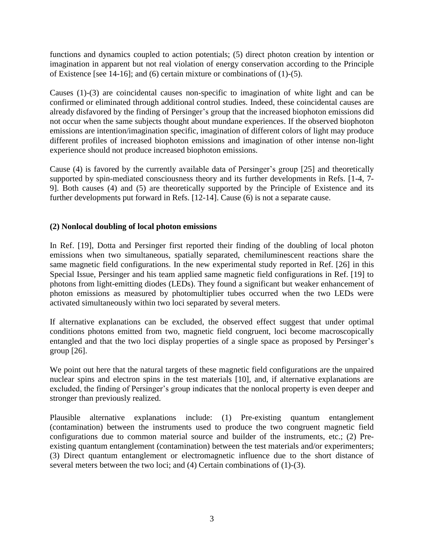functions and dynamics coupled to action potentials; (5) direct photon creation by intention or imagination in apparent but not real violation of energy conservation according to the Principle of Existence [see 14-16]; and (6) certain mixture or combinations of (1)-(5).

Causes (1)-(3) are coincidental causes non-specific to imagination of white light and can be confirmed or eliminated through additional control studies. Indeed, these coincidental causes are already disfavored by the finding of Persinger's group that the increased biophoton emissions did not occur when the same subjects thought about mundane experiences. If the observed biophoton emissions are intention/imagination specific, imagination of different colors of light may produce different profiles of increased biophoton emissions and imagination of other intense non-light experience should not produce increased biophoton emissions.

Cause (4) is favored by the currently available data of Persinger's group [25] and theoretically supported by spin-mediated consciousness theory and its further developments in Refs. [1-4, 7- 9]. Both causes (4) and (5) are theoretically supported by the Principle of Existence and its further developments put forward in Refs. [12-14]. Cause (6) is not a separate cause.

#### **(2) Nonlocal doubling of local photon emissions**

In Ref. [19], Dotta and Persinger first reported their finding of the doubling of local photon emissions when two simultaneous, spatially separated, chemiluminescent reactions share the same magnetic field configurations. In the new experimental study reported in Ref. [26] in this Special Issue, Persinger and his team applied same magnetic field configurations in Ref. [19] to photons from light-emitting diodes (LEDs). They found a significant but weaker enhancement of photon emissions as measured by photomultiplier tubes occurred when the two LEDs were activated simultaneously within two loci separated by several meters.

If alternative explanations can be excluded, the observed effect suggest that under optimal conditions photons emitted from two, magnetic field congruent, loci become macroscopically entangled and that the two loci display properties of a single space as proposed by Persinger's group [26].

We point out here that the natural targets of these magnetic field configurations are the unpaired nuclear spins and electron spins in the test materials [10], and, if alternative explanations are excluded, the finding of Persinger's group indicates that the nonlocal property is even deeper and stronger than previously realized.

Plausible alternative explanations include: (1) Pre-existing quantum entanglement (contamination) between the instruments used to produce the two congruent magnetic field configurations due to common material source and builder of the instruments, etc.; (2) Preexisting quantum entanglement (contamination) between the test materials and/or experimenters; (3) Direct quantum entanglement or electromagnetic influence due to the short distance of several meters between the two loci; and (4) Certain combinations of (1)-(3).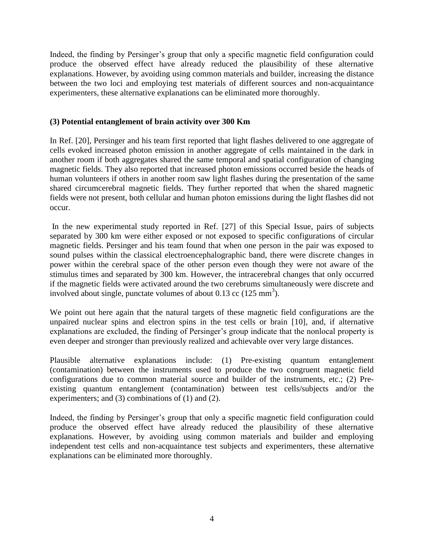Indeed, the finding by Persinger's group that only a specific magnetic field configuration could produce the observed effect have already reduced the plausibility of these alternative explanations. However, by avoiding using common materials and builder, increasing the distance between the two loci and employing test materials of different sources and non-acquaintance experimenters, these alternative explanations can be eliminated more thoroughly.

#### **(3) Potential entanglement of brain activity over 300 Km**

In Ref. [20], Persinger and his team first reported that light flashes delivered to one aggregate of cells evoked increased photon emission in another aggregate of cells maintained in the dark in another room if both aggregates shared the same temporal and spatial configuration of changing magnetic fields. They also reported that increased photon emissions occurred beside the heads of human volunteers if others in another room saw light flashes during the presentation of the same shared circumcerebral magnetic fields. They further reported that when the shared magnetic fields were not present, both cellular and human photon emissions during the light flashes did not occur.

In the new experimental study reported in Ref. [27] of this Special Issue, pairs of subjects separated by 300 km were either exposed or not exposed to specific configurations of circular magnetic fields. Persinger and his team found that when one person in the pair was exposed to sound pulses within the classical electroencephalographic band, there were discrete changes in power within the cerebral space of the other person even though they were not aware of the stimulus times and separated by 300 km. However, the intracerebral changes that only occurred if the magnetic fields were activated around the two cerebrums simultaneously were discrete and involved about single, punctate volumes of about  $0.13$  cc  $(125 \text{ mm}^3)$ .

We point out here again that the natural targets of these magnetic field configurations are the unpaired nuclear spins and electron spins in the test cells or brain [10], and, if alternative explanations are excluded, the finding of Persinger's group indicate that the nonlocal property is even deeper and stronger than previously realized and achievable over very large distances.

Plausible alternative explanations include: (1) Pre-existing quantum entanglement (contamination) between the instruments used to produce the two congruent magnetic field configurations due to common material source and builder of the instruments, etc.; (2) Preexisting quantum entanglement (contamination) between test cells/subjects and/or the experimenters; and (3) combinations of (1) and (2).

Indeed, the finding by Persinger's group that only a specific magnetic field configuration could produce the observed effect have already reduced the plausibility of these alternative explanations. However, by avoiding using common materials and builder and employing independent test cells and non-acquaintance test subjects and experimenters, these alternative explanations can be eliminated more thoroughly.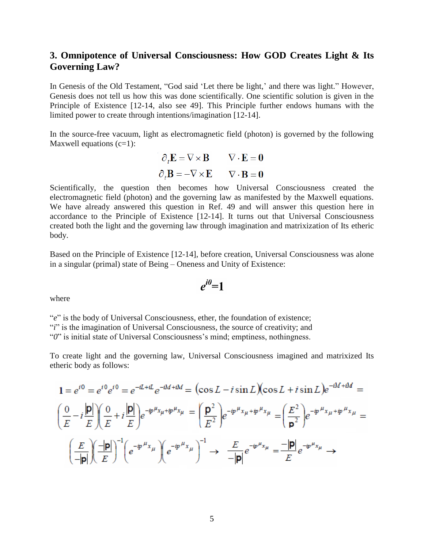## **3. Omnipotence of Universal Consciousness: How GOD Creates Light & Its Governing Law?**

In Genesis of the Old Testament, "God said 'Let there be light,' and there was light." However, Genesis does not tell us how this was done scientifically. One scientific solution is given in the Principle of Existence [12-14, also see 49]. This Principle further endows humans with the limited power to create through intentions/imagination [12-14].

In the source-free vacuum, light as electromagnetic field (photon) is governed by the following Maxwell equations  $(c=1)$ :

$$
\partial_t \mathbf{E} = \nabla \times \mathbf{B} \qquad \nabla \cdot \mathbf{E} = \mathbf{0}
$$

$$
\partial_t \mathbf{B} = -\nabla \times \mathbf{E} \qquad \nabla \cdot \mathbf{B} = \mathbf{0}
$$

Scientifically, the question then becomes how Universal Consciousness created the electromagnetic field (photon) and the governing law as manifested by the Maxwell equations. We have already answered this question in Ref. 49 and will answer this question here in accordance to the Principle of Existence [12-14]. It turns out that Universal Consciousness created both the light and the governing law through imagination and matrixization of Its etheric body.

Based on the Principle of Existence [12-14], before creation, Universal Consciousness was alone in a singular (primal) state of Being – Oneness and Unity of Existence:

$$
e^{i\theta} = 1
$$

where

"e" is the body of Universal Consciousness, ether, the foundation of existence; "*i*" is the imagination of Universal Consciousness, the source of creativity; and "*0*" is initial state of Universal Consciousness's mind; emptiness, nothingness.

To create light and the governing law, Universal Consciousness imagined and matrixized Its etheric body as follows:

$$
1 = e^{i0} = e^{i0}e^{i0} = e^{-iL+iL}e^{-iM+iM} = (\cos L - i \sin L)(\cos L + i \sin L)e^{-iM+iM} =
$$
  

$$
\left(\frac{0}{E} - i\frac{|\mathbf{p}|}{E}\right)\left(\frac{0}{E} + i\frac{|\mathbf{p}|}{E}\right)e^{-ip\mu_{x\mu}+ip\mu_{x\mu}} = \left(\frac{\mathbf{p}^2}{E^2}\right)e^{-ip\mu_{x\mu}+ip\mu_{x\mu}} = \left(\frac{E^2}{\mathbf{p}^2}\right)e^{-ip\mu_{x\mu}+ip\mu_{x\mu}} =
$$
  

$$
\left(\frac{E}{-|\mathbf{p}|}\right)\left(\frac{-|\mathbf{p}|}{E}\right)^{-1}\left(e^{-ip\mu_{x\mu}}\right)\left(e^{-ip\mu_{x\mu}}\right)^{-1} \rightarrow \frac{E}{-|\mathbf{p}|}e^{-ip\mu_{x\mu}} = \frac{-|\mathbf{p}|}{E}e^{-ip\mu_{x\mu}} \rightarrow
$$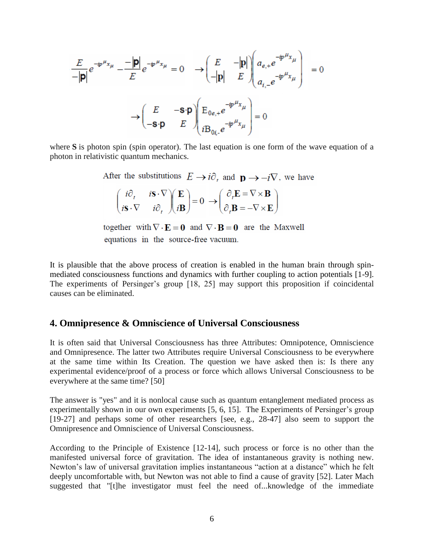$$
\frac{E}{-|\mathbf{p}|}e^{-ip^{\mu}x_{\mu}} - \frac{|\mathbf{p}|}{E}e^{-ip^{\mu}x_{\mu}} = 0 \longrightarrow \left(\frac{E}{-|\mathbf{p}|}\begin{pmatrix} -|\mathbf{p}| \\ E \end{pmatrix} \begin{pmatrix} a_{e,+}e^{-ip^{\mu}x_{\mu}} \\ a_{i,-}e^{-ip^{\mu}x_{\mu}} \end{pmatrix} \right) = 0
$$

$$
\longrightarrow \left(\begin{pmatrix} E & -\mathbf{s}\cdot\mathbf{p} \\ -\mathbf{s}\cdot\mathbf{p} & E \end{pmatrix} \begin{pmatrix} E_{0e,+}e^{-ip^{\mu}x_{\mu}} \\ iB_{0i,-}e^{-ip^{\mu}x_{\mu}} \end{pmatrix} = 0
$$

where **S** is photon spin (spin operator). The last equation is one form of the wave equation of a photon in relativistic quantum mechanics.

After the substitutions  $E \to i\partial$ , and  $\mathbf{n} \to -i\nabla$ , we have

|  | $\begin{pmatrix} i\partial_t & i\mathbf{S} \cdot \nabla \\ i\mathbf{S} \cdot \nabla & i\partial_t \end{pmatrix} \begin{pmatrix} \mathbf{E} \\ i\mathbf{B} \end{pmatrix} = 0 \rightarrow \begin{pmatrix} \partial_t \mathbf{E} = \nabla \times \mathbf{B} \\ \partial_t \mathbf{B} = -\nabla \times \mathbf{E} \end{pmatrix}$ |
|--|------------------------------------------------------------------------------------------------------------------------------------------------------------------------------------------------------------------------------------------------------------------------------------------------------------------------------|
|  |                                                                                                                                                                                                                                                                                                                              |

together with  $\nabla \cdot \mathbf{E} = \mathbf{0}$  and  $\nabla \cdot \mathbf{B} = \mathbf{0}$  are the Maxwell equations in the source-free vacuum.

It is plausible that the above process of creation is enabled in the human brain through spinmediated consciousness functions and dynamics with further coupling to action potentials [1-9]. The experiments of Persinger's group [18, 25] may support this proposition if coincidental causes can be eliminated.

### **4. Omnipresence & Omniscience of Universal Consciousness**

It is often said that Universal Consciousness has three Attributes: Omnipotence, Omniscience and Omnipresence. The latter two Attributes require Universal Consciousness to be everywhere at the same time within Its Creation. The question we have asked then is: Is there any experimental evidence/proof of a process or force which allows Universal Consciousness to be everywhere at the same time? [50]

The answer is "yes" and it is nonlocal cause such as quantum entanglement mediated process as experimentally shown in our own experiments [5, 6, 15]. The Experiments of Persinger's group [19-27] and perhaps some of other researchers [see, e.g., 28-47] also seem to support the Omnipresence and Omniscience of Universal Consciousness.

According to the Principle of Existence [12-14], such process or force is no other than the manifested universal force of gravitation. The idea of instantaneous gravity is nothing new. Newton's law of universal gravitation implies instantaneous "action at a distance" which he felt deeply uncomfortable with, but Newton was not able to find a cause of gravity [52]. Later Mach suggested that "[t]he investigator must feel the need of...knowledge of the immediate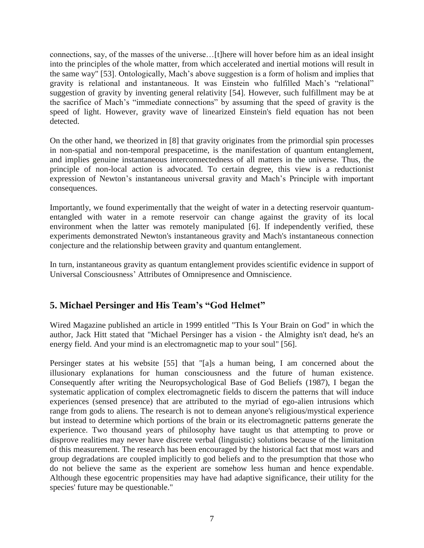connections, say, of the masses of the universe…[t]here will hover before him as an ideal insight into the principles of the whole matter, from which accelerated and inertial motions will result in the same way" [53]. Ontologically, Mach's above suggestion is a form of holism and implies that gravity is relational and instantaneous. It was Einstein who fulfilled Mach's "relational" suggestion of gravity by inventing general relativity [54]. However, such fulfillment may be at the sacrifice of Mach's "immediate connections" by assuming that the speed of gravity is the speed of light. However, gravity wave of linearized Einstein's field equation has not been detected.

On the other hand, we theorized in [8] that gravity originates from the primordial spin processes in non-spatial and non-temporal prespacetime, is the manifestation of quantum entanglement, and implies genuine instantaneous interconnectedness of all matters in the universe. Thus, the principle of non-local action is advocated. To certain degree, this view is a reductionist expression of Newton's instantaneous universal gravity and Mach's Principle with important consequences.

Importantly, we found experimentally that the weight of water in a detecting reservoir quantumentangled with water in a remote reservoir can change against the gravity of its local environment when the latter was remotely manipulated [6]. If independently verified, these experiments demonstrated Newton's instantaneous gravity and Mach's instantaneous connection conjecture and the relationship between gravity and quantum entanglement.

In turn, instantaneous gravity as quantum entanglement provides scientific evidence in support of Universal Consciousness' Attributes of Omnipresence and Omniscience.

# **5. Michael Persinger and His Team's "God Helmet"**

Wired Magazine published an article in 1999 entitled "This Is Your Brain on God" in which the author, Jack Hitt stated that "Michael Persinger has a vision - the Almighty isn't dead, he's an energy field. And your mind is an electromagnetic map to your soul" [56].

Persinger states at his website [55] that "[a]s a human being, I am concerned about the illusionary explanations for human consciousness and the future of human existence. Consequently after writing the Neuropsychological Base of God Beliefs (1987), I began the systematic application of complex electromagnetic fields to discern the patterns that will induce experiences (sensed presence) that are attributed to the myriad of ego-alien intrusions which range from gods to aliens. The research is not to demean anyone's religious/mystical experience but instead to determine which portions of the brain or its electromagnetic patterns generate the experience. Two thousand years of philosophy have taught us that attempting to prove or disprove realities may never have discrete verbal (linguistic) solutions because of the limitation of this measurement. The research has been encouraged by the historical fact that most wars and group degradations are coupled implicitly to god beliefs and to the presumption that those who do not believe the same as the experient are somehow less human and hence expendable. Although these egocentric propensities may have had adaptive significance, their utility for the species' future may be questionable."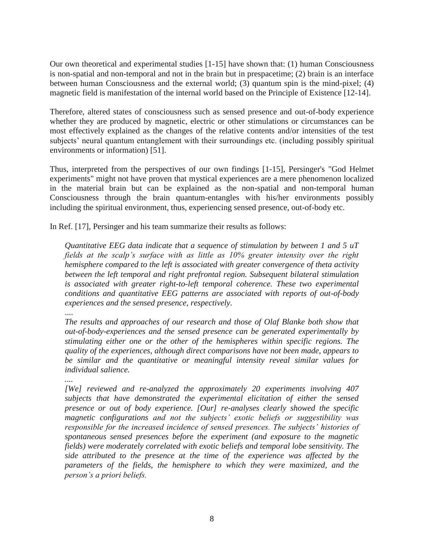Our own theoretical and experimental studies [1-15] have shown that: (1) human Consciousness is non-spatial and non-temporal and not in the brain but in prespacetime; (2) brain is an interface between human Consciousness and the external world; (3) quantum spin is the mind-pixel; (4) magnetic field is manifestation of the internal world based on the Principle of Existence [12-14].

Therefore, altered states of consciousness such as sensed presence and out-of-body experience whether they are produced by magnetic, electric or other stimulations or circumstances can be most effectively explained as the changes of the relative contents and/or intensities of the test subjects' neural quantum entanglement with their surroundings etc. (including possibly spiritual environments or information) [51].

Thus, interpreted from the perspectives of our own findings [1-15], Persinger's "God Helmet experiments" might not have proven that mystical experiences are a mere phenomenon localized in the material brain but can be explained as the non-spatial and non-temporal human Consciousness through the brain quantum-entangles with his/her environments possibly including the spiritual environment, thus, experiencing sensed presence, out-of-body etc.

In Ref. [17], Persinger and his team summarize their results as follows:

*Quantitative EEG data indicate that a sequence of stimulation by between 1 and 5 uT fields at the scalp's surface with as little as 10% greater intensity over the right hemisphere compared to the left is associated with greater convergence of theta activity between the left temporal and right prefrontal region. Subsequent bilateral stimulation is associated with greater right-to-left temporal coherence. These two experimental conditions and quantitative EEG patterns are associated with reports of out-of-body experiences and the sensed presence, respectively.*

....

*The results and approaches of our research and those of Olaf Blanke both show that out-of-body-experiences and the sensed presence can be generated experimentally by stimulating either one or the other of the hemispheres within specific regions. The quality of the experiences, although direct comparisons have not been made, appears to be similar and the quantitative or meaningful intensity reveal similar values for individual salience.*

*....*

*[We] reviewed and re-analyzed the approximately 20 experiments involving 407 subjects that have demonstrated the experimental elicitation of either the sensed presence or out of body experience. [Our] re-analyses clearly showed the specific magnetic configurations and not the subjects' exotic beliefs or suggestibility was responsible for the increased incidence of sensed presences. The subjects' histories of spontaneous sensed presences before the experiment (and exposure to the magnetic fields) were moderately correlated with exotic beliefs and temporal lobe sensitivity. The side attributed to the presence at the time of the experience was affected by the parameters of the fields, the hemisphere to which they were maximized, and the person's a priori beliefs.*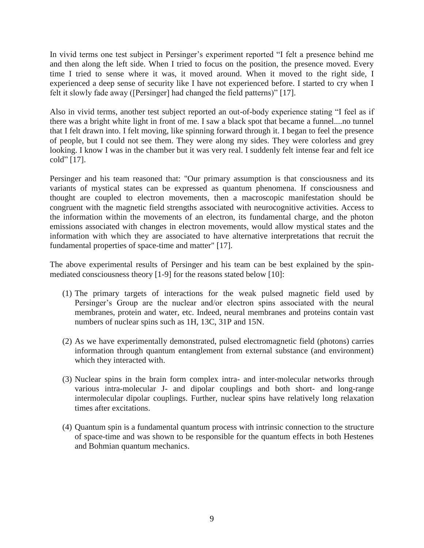In vivid terms one test subject in Persinger's experiment reported "I felt a presence behind me and then along the left side. When I tried to focus on the position, the presence moved. Every time I tried to sense where it was, it moved around. When it moved to the right side, I experienced a deep sense of security like I have not experienced before. I started to cry when I felt it slowly fade away ([Persinger] had changed the field patterns)" [17].

Also in vivid terms, another test subject reported an out-of-body experience stating "I feel as if there was a bright white light in front of me. I saw a black spot that became a funnel....no tunnel that I felt drawn into. I felt moving, like spinning forward through it. I began to feel the presence of people, but I could not see them. They were along my sides. They were colorless and grey looking. I know I was in the chamber but it was very real. I suddenly felt intense fear and felt ice cold" [17].

Persinger and his team reasoned that: "Our primary assumption is that consciousness and its variants of mystical states can be expressed as quantum phenomena. If consciousness and thought are coupled to electron movements, then a macroscopic manifestation should be congruent with the magnetic field strengths associated with neurocognitive activities. Access to the information within the movements of an electron, its fundamental charge, and the photon emissions associated with changes in electron movements, would allow mystical states and the information with which they are associated to have alternative interpretations that recruit the fundamental properties of space-time and matter" [17].

The above experimental results of Persinger and his team can be best explained by the spinmediated consciousness theory [1-9] for the reasons stated below [10]:

- (1) The primary targets of interactions for the weak pulsed magnetic field used by Persinger's Group are the nuclear and/or electron spins associated with the neural membranes, protein and water, etc. Indeed, neural membranes and proteins contain vast numbers of nuclear spins such as 1H, 13C, 31P and 15N.
- (2) As we have experimentally demonstrated, pulsed electromagnetic field (photons) carries information through quantum entanglement from external substance (and environment) which they interacted with.
- (3) Nuclear spins in the brain form complex intra- and inter-molecular networks through various intra-molecular J- and dipolar couplings and both short- and long-range intermolecular dipolar couplings. Further, nuclear spins have relatively long relaxation times after excitations.
- (4) Quantum spin is a fundamental quantum process with intrinsic connection to the structure of space-time and was shown to be responsible for the quantum effects in both Hestenes and Bohmian quantum mechanics.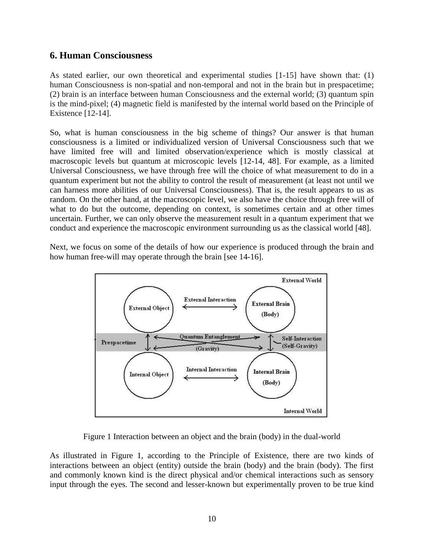## **6. Human Consciousness**

As stated earlier, our own theoretical and experimental studies  $[1-15]$  have shown that: (1) human Consciousness is non-spatial and non-temporal and not in the brain but in prespacetime; (2) brain is an interface between human Consciousness and the external world; (3) quantum spin is the mind-pixel; (4) magnetic field is manifested by the internal world based on the Principle of Existence [12-14].

So, what is human consciousness in the big scheme of things? Our answer is that human consciousness is a limited or individualized version of Universal Consciousness such that we have limited free will and limited observation/experience which is mostly classical at macroscopic levels but quantum at microscopic levels [12-14, 48]. For example, as a limited Universal Consciousness, we have through free will the choice of what measurement to do in a quantum experiment but not the ability to control the result of measurement (at least not until we can harness more abilities of our Universal Consciousness). That is, the result appears to us as random. On the other hand, at the macroscopic level, we also have the choice through free will of what to do but the outcome, depending on context, is sometimes certain and at other times uncertain. Further, we can only observe the measurement result in a quantum experiment that we conduct and experience the macroscopic environment surrounding us as the classical world [48].

Next, we focus on some of the details of how our experience is produced through the brain and how human free-will may operate through the brain [see 14-16].



Figure 1 Interaction between an object and the brain (body) in the dual-world

As illustrated in Figure 1, according to the Principle of Existence, there are two kinds of interactions between an object (entity) outside the brain (body) and the brain (body). The first and commonly known kind is the direct physical and/or chemical interactions such as sensory input through the eyes. The second and lesser-known but experimentally proven to be true kind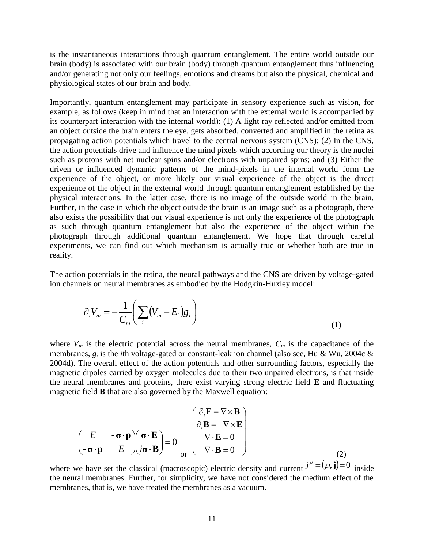is the instantaneous interactions through quantum entanglement. The entire world outside our brain (body) is associated with our brain (body) through quantum entanglement thus influencing and/or generating not only our feelings, emotions and dreams but also the physical, chemical and physiological states of our brain and body.

Importantly, quantum entanglement may participate in sensory experience such as vision, for example, as follows (keep in mind that an interaction with the external world is accompanied by its counterpart interaction with the internal world): (1) A light ray reflected and/or emitted from an object outside the brain enters the eye, gets absorbed, converted and amplified in the retina as propagating action potentials which travel to the central nervous system (CNS); (2) In the CNS, the action potentials drive and influence the mind pixels which according our theory is the nuclei such as protons with net nuclear spins and/or electrons with unpaired spins; and (3) Either the driven or influenced dynamic patterns of the mind-pixels in the internal world form the experience of the object, or more likely our visual experience of the object is the direct experience of the object in the external world through quantum entanglement established by the physical interactions. In the latter case, there is no image of the outside world in the brain. Further, in the case in which the object outside the brain is an image such as a photograph, there also exists the possibility that our visual experience is not only the experience of the photograph as such through quantum entanglement but also the experience of the object within the photograph through additional quantum entanglement. We hope that through careful experiments, we can find out which mechanism is actually true or whether both are true in reality.

The action potentials in the retina, the neural pathways and the CNS are driven by voltage-gated ion channels on neural membranes as embodied by the Hodgkin-Huxley model:

$$
\partial_t V_m = -\frac{1}{C_m} \left( \sum_i (V_m - E_i) g_i \right)
$$
\n(1)

where  $V_m$  is the electric potential across the neural membranes,  $C_m$  is the capacitance of the membranes, *g<sup>i</sup>* is the *i*th voltage-gated or constant-leak ion channel (also see, Hu & Wu, 2004c & 2004d). The overall effect of the action potentials and other surrounding factors, especially the magnetic dipoles carried by oxygen molecules due to their two unpaired electrons, is that inside the neural membranes and proteins, there exist varying strong electric field **E** and fluctuating magnetic field **B** that are also governed by the Maxwell equation:

$$
\begin{pmatrix}\nE - \mathbf{\sigma} \cdot \mathbf{p} \\
-\mathbf{\sigma} \cdot \mathbf{p} & E\n\end{pmatrix}\n\begin{pmatrix}\n\mathbf{\sigma} \cdot \mathbf{E} \\
\mathbf{\sigma} \cdot \mathbf{B} \\
\mathbf{\sigma} \cdot \mathbf{B}\n\end{pmatrix} = 0\n\begin{pmatrix}\n\partial_t \mathbf{E} = \nabla \times \mathbf{B} \\
\partial_t \mathbf{B} = -\nabla \times \mathbf{E} \\
\nabla \cdot \mathbf{E} = 0 \\
\nabla \cdot \mathbf{B} = 0\n\end{pmatrix}
$$
\n(2)

where we have set the classical (macroscopic) electric density and current  $j^{\mu} = (\rho, \mathbf{j}) = 0$  inside the neural membranes. Further, for simplicity, we have not considered the medium effect of the membranes, that is, we have treated the membranes as a vacuum.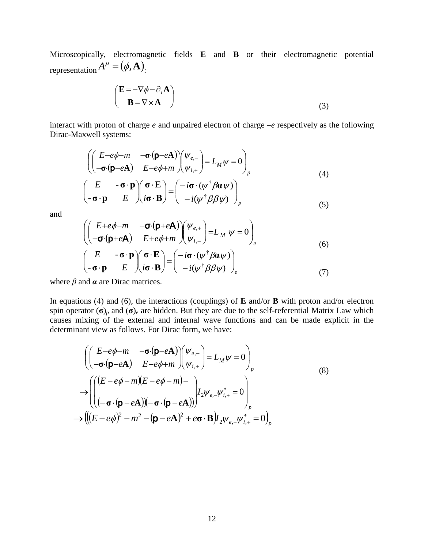Microscopically, electromagnetic fields **E** and **B** or their electromagnetic potential representation  $A^{\mu} = (\phi, \mathbf{A})$ .

$$
\begin{pmatrix} \mathbf{E} = -\nabla \phi - \partial_t \mathbf{A} \\ \mathbf{B} = \nabla \times \mathbf{A} \end{pmatrix}
$$
 (3)

interact with proton of charge *e* and unpaired electron of charge –*e* respectively as the following Dirac-Maxwell systems:

$$
\begin{pmatrix}\n\begin{pmatrix}\nE-e\phi-m & -\sigma(p-eA) \\
-\sigma(p-eA) & E-e\phi+m\n\end{pmatrix}\n\begin{pmatrix}\n\psi_{e,-} \\
\psi_{i,+}\n\end{pmatrix} = L_M \psi = 0\n\end{pmatrix}_p
$$
\n
$$
\begin{pmatrix}\nE & -\sigma \cdot \mathbf{p} \\
-\sigma \cdot \mathbf{p} & E\n\end{pmatrix}\n\begin{pmatrix}\n\sigma \cdot \mathbf{E} \\
i\sigma \cdot \mathbf{B}\n\end{pmatrix} =\n\begin{pmatrix}\n-i\sigma \cdot (\psi^\dagger \beta \alpha \psi) \\
-i(\psi^\dagger \beta \beta \psi)\n\end{pmatrix}_p
$$
\n(4)

and

$$
\begin{pmatrix}\n\begin{pmatrix}\nE + e\phi - m & -\sigma \cdot (\mathbf{p} + e\mathbf{A}) \\
-\sigma \cdot (\mathbf{p} + e\mathbf{A}) & E + e\phi + m\n\end{pmatrix} \begin{pmatrix}\n\psi_{e,+} \\
\psi_{i,-}\n\end{pmatrix} = L_M \ \psi = 0\n\end{pmatrix}_e
$$
\n
$$
\begin{pmatrix}\nE & -\sigma \cdot \mathbf{p} \\
-\sigma \cdot \mathbf{p} & E\n\end{pmatrix} \begin{pmatrix}\n\sigma \cdot \mathbf{E} \\
i\sigma \cdot \mathbf{B}\n\end{pmatrix} = \begin{pmatrix}\n-i\sigma \cdot (\psi^{\dagger} \beta \alpha \psi) \\
-i(\psi^{\dagger} \beta \beta \psi)\n\end{pmatrix}_e
$$
\n(7)

where  $\beta$  and  $\alpha$  are Dirac matrices.

In equations (4) and (6), the interactions (couplings) of **E** and/or **B** with proton and/or electron spin operator  $(\sigma)$ <sub>*p*</sub> and  $(\sigma)$ <sub>*e*</sub> are hidden. But they are due to the self-referential Matrix Law which causes mixing of the external and internal wave functions and can be made explicit in the determinant view as follows. For Dirac form, we have:

$$
\left( \begin{pmatrix} E - e\phi - m & -\sigma \cdot (\mathbf{p} - e\mathbf{A}) \\ -\sigma \cdot (\mathbf{p} - e\mathbf{A}) & E - e\phi + m \end{pmatrix} \begin{pmatrix} \psi_{e,-} \\ \psi_{i,+} \end{pmatrix} = L_M \psi = 0 \right)_p
$$
\n
$$
\rightarrow \left( \begin{pmatrix} (E - e\phi - m)(E - e\phi + m) - \\ (-\sigma \cdot (\mathbf{p} - e\mathbf{A})) (-\sigma \cdot (\mathbf{p} - e\mathbf{A})) \end{pmatrix} I_2 \psi_{e,-} \psi_{i,+}^* = 0 \right)_p
$$
\n
$$
\rightarrow \left( \left( (E - e\phi)^2 - m^2 - (\mathbf{p} - e\mathbf{A})^2 + e\sigma \cdot \mathbf{B} \right) I_2 \psi_{e,-} \psi_{i,+}^* = 0 \right)_p
$$
\n(8)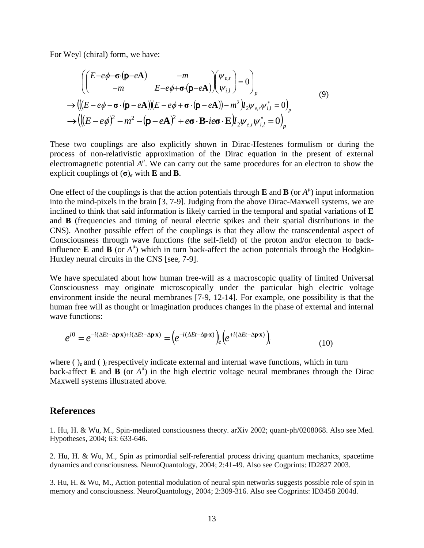For Weyl (chiral) form, we have:

$$
\left( \begin{pmatrix} E - e\phi - \sigma \cdot (\mathbf{p} - e\mathbf{A}) & -m \\ -m & E - e\phi + \sigma \cdot (\mathbf{p} - e\mathbf{A}) \end{pmatrix} \begin{pmatrix} \psi_{e,r} \\ \psi_{i,l} \end{pmatrix} = 0 \right)_p
$$
\n
$$
\rightarrow \left( \left( (E - e\phi - \sigma \cdot (\mathbf{p} - e\mathbf{A})) (E - e\phi + \sigma \cdot (\mathbf{p} - e\mathbf{A})) - m^2 \right) I_2 \psi_{e,r} \psi_{i,l}^* = 0 \right)_p
$$
\n
$$
\rightarrow \left( \left( (E - e\phi)^2 - m^2 - (\mathbf{p} - e\mathbf{A})^2 + e\sigma \cdot \mathbf{B} - ie\sigma \cdot \mathbf{E} \right) I_2 \psi_{e,r} \psi_{i,l}^* = 0 \right)_p
$$
\n(9)

These two couplings are also explicitly shown in Dirac-Hestenes formulism or during the process of non-relativistic approximation of the Dirac equation in the present of external electromagnetic potential  $A^{\mu}$ . We can carry out the same procedures for an electron to show the explicit couplings of (**σ**)*<sup>e</sup>* with **E** and **B**.

One effect of the couplings is that the action potentials through **E** and **B** (or  $A^{\mu}$ ) input information into the mind-pixels in the brain [3, 7-9]. Judging from the above Dirac-Maxwell systems, we are inclined to think that said information is likely carried in the temporal and spatial variations of **E** and **B** (frequencies and timing of neural electric spikes and their spatial distributions in the CNS). Another possible effect of the couplings is that they allow the transcendental aspect of Consciousness through wave functions (the self-field) of the proton and/or electron to backinfluence **E** and **B** (or  $A^{\mu}$ ) which in turn back-affect the action potentials through the Hodgkin-Huxley neural circuits in the CNS [see, 7-9].

We have speculated about how human free-will as a macroscopic quality of limited Universal Consciousness may originate microscopically under the particular high electric voltage environment inside the neural membranes [7-9, 12-14]. For example, one possibility is that the human free will as thought or imagination produces changes in the phase of external and internal wave functions:

$$
e^{i0} = e^{-i(\Delta E t - \Delta \mathbf{p} \cdot \mathbf{x}) + i(\Delta E t - \Delta \mathbf{p} \cdot \mathbf{x})} = \left(e^{-i(\Delta E t - \Delta \mathbf{p} \cdot \mathbf{x})}\right)_e \left(e^{+i(\Delta E t - \Delta \mathbf{p} \cdot \mathbf{x})}\right)_i
$$
(10)

where ( )<sub>*e*</sub> and ( )<sub>*i*</sub> respectively indicate external and internal wave functions, which in turn back-affect **E** and **B** (or  $A^{\mu}$ ) in the high electric voltage neural membranes through the Dirac Maxwell systems illustrated above.

#### **References**

1. Hu, H. & Wu, M., Spin-mediated consciousness theory. arXiv 2002; quant-ph/0208068. Also see Med. Hypotheses, 2004; 63: 633-646.

2. Hu, H. & Wu, M., Spin as primordial self-referential process driving quantum mechanics, spacetime dynamics and consciousness. NeuroQuantology, 2004; 2:41-49. Also see Cogprints: ID2827 2003.

3. Hu, H. & Wu, M., Action potential modulation of neural spin networks suggests possible role of spin in memory and consciousness. NeuroQuantology, 2004; 2:309-316. Also see Cogprints: ID3458 2004d.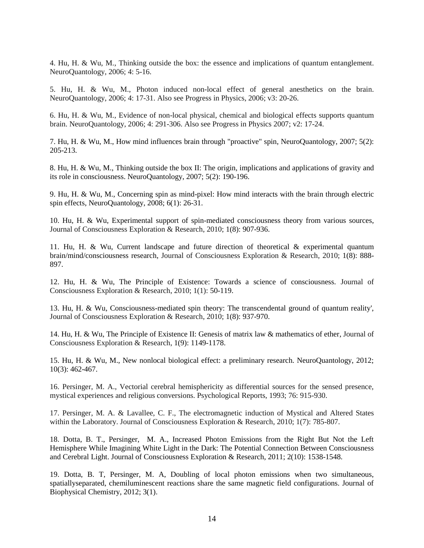4. Hu, H. & Wu, M., Thinking outside the box: the essence and implications of quantum entanglement. NeuroQuantology, 2006; 4: 5-16.

5. Hu, H. & Wu, M., Photon induced non-local effect of general anesthetics on the brain. NeuroQuantology, 2006; 4: 17-31. Also see Progress in Physics, 2006; v3: 20-26.

6. Hu, H. & Wu, M., Evidence of non-local physical, chemical and biological effects supports quantum brain. NeuroQuantology, 2006; 4: 291-306. Also see Progress in Physics 2007; v2: 17-24.

7. Hu, H. & Wu, M., How mind influences brain through "proactive" spin, NeuroQuantology, 2007; 5(2): 205-213.

8. Hu, H. & Wu, M., Thinking outside the box II: The origin, implications and applications of gravity and its role in consciousness. NeuroQuantology, 2007; 5(2): 190-196.

9. Hu, H. & Wu, M., Concerning spin as mind-pixel: How mind interacts with the brain through electric spin effects, NeuroQuantology, 2008; 6(1): 26-31.

10. Hu, H. & Wu, Experimental support of spin-mediated consciousness theory from various sources, Journal of Consciousness Exploration & Research, 2010; 1(8): 907-936.

11. Hu, H. & Wu, Current landscape and future direction of theoretical & experimental quantum brain/mind/consciousness research, Journal of Consciousness Exploration & Research, 2010; 1(8): 888- 897.

12. Hu, H. & Wu, The Principle of Existence: Towards a science of consciousness. Journal of Consciousness Exploration & Research, 2010; 1(1): 50-119.

13. Hu, H. & Wu, Consciousness-mediated spin theory: The transcendental ground of quantum reality', Journal of Consciousness Exploration & Research, 2010; 1(8): 937-970.

14. Hu, H. & Wu, The Principle of Existence II: Genesis of matrix law & mathematics of ether, Journal of Consciousness Exploration & Research, 1(9): 1149-1178.

15. Hu, H. & Wu, M., New nonlocal biological effect: a preliminary research. NeuroQuantology, 2012; 10(3): 462-467.

16. Persinger, M. A., Vectorial cerebral hemisphericity as differential sources for the sensed presence, mystical experiences and religious conversions. Psychological Reports, 1993; 76: 915-930.

17. Persinger, M. A. & Lavallee, C. F., The electromagnetic induction of Mystical and Altered States within the Laboratory. Journal of Consciousness Exploration & Research, 2010; 1(7): 785-807.

18. Dotta, B. T., Persinger, M. A., Increased Photon Emissions from the Right But Not the Left Hemisphere While Imagining White Light in the Dark: The Potential Connection Between Consciousness and Cerebral Light. Journal of Consciousness Exploration & Research, 2011; 2(10): 1538-1548.

19. Dotta, B. T, Persinger, M. A, Doubling of local photon emissions when two simultaneous, spatiallyseparated, chemiluminescent reactions share the same magnetic field configurations. Journal of Biophysical Chemistry, 2012; 3(1).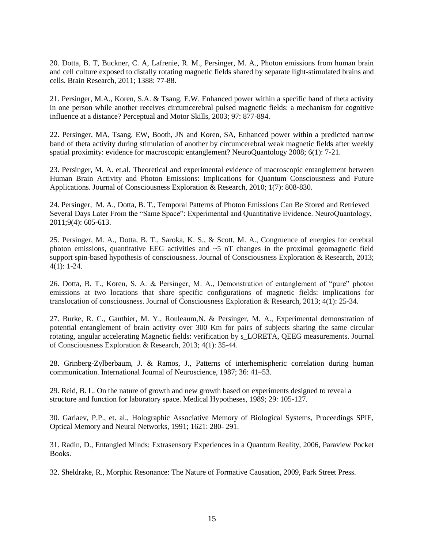20. Dotta, B. T, Buckner, C. A, Lafrenie, R. M., Persinger, M. A., Photon emissions from human brain and cell culture exposed to distally rotating magnetic fields shared by separate light-stimulated brains and cells. Brain Research, 2011; 1388: 77-88.

21. Persinger, M.A., Koren, S.A. & Tsang, E.W. Enhanced power within a specific band of theta activity in one person while another receives circumcerebral pulsed magnetic fields: a mechanism for cognitive influence at a distance? Perceptual and Motor Skills, 2003; 97: 877-894.

22. Persinger, MA, Tsang, EW, Booth, JN and Koren, SA, Enhanced power within a predicted narrow band of theta activity during stimulation of another by circumcerebral weak magnetic fields after weekly spatial proximity: evidence for macroscopic entanglement? NeuroQuantology 2008; 6(1): 7-21.

23. Persinger, M. A. et.al. Theoretical and experimental evidence of macroscopic entanglement between Human Brain Activity and Photon Emissions: Implications for Quantum Consciousness and Future Applications. Journal of Consciousness Exploration & Research, 2010; 1(7): 808-830.

24. Persinger, M. A., Dotta, B. T., Temporal Patterns of Photon Emissions Can Be Stored and Retrieved Several Days Later From the "Same Space": Experimental and Quantitative Evidence. NeuroQuantology, 2011;9(4): 605-613.

25. Persinger, M. A., Dotta, B. T., Saroka, K. S., & Scott, M. A., Congruence of energies for cerebral photon emissions, quantitative EEG activities and  $\sim$  5 nT changes in the proximal geomagnetic field support spin-based hypothesis of consciousness. Journal of Consciousness Exploration & Research, 2013; 4(1): 1-24.

26. Dotta, B. T., Koren, S. A. & Persinger, M. A., Demonstration of entanglement of "pure" photon emissions at two locations that share specific configurations of magnetic fields: implications for translocation of consciousness. Journal of Consciousness Exploration & Research, 2013; 4(1): 25-34.

27. Burke, R. C., Gauthier, M. Y., Rouleaum,N. & Persinger, M. A., Experimental demonstration of potential entanglement of brain activity over 300 Km for pairs of subjects sharing the same circular rotating, angular accelerating Magnetic fields: verification by s\_LORETA, QEEG measurements. Journal of Consciousness Exploration & Research, 2013; 4(1): 35-44.

28. Grinberg-Zylberbaum, J. & Ramos, J., Patterns of interhemispheric correlation during human communication. International Journal of Neuroscience, 1987; 36: 41–53.

29. Reid, B. L. On the nature of growth and new growth based on experiments designed to reveal a structure and function for laboratory space. Medical Hypotheses, 1989; 29: 105-127.

30. Gariaev, P.P., et. al., Holographic Associative Memory of Biological Systems, Proceedings SPIE, Optical Memory and Neural Networks, 1991; 1621: 280- 291.

31. Radin, D., Entangled Minds: Extrasensory Experiences in a Quantum Reality, 2006, Paraview Pocket Books.

32. Sheldrake, R., Morphic Resonance: The Nature of Formative Causation, 2009, Park Street Press.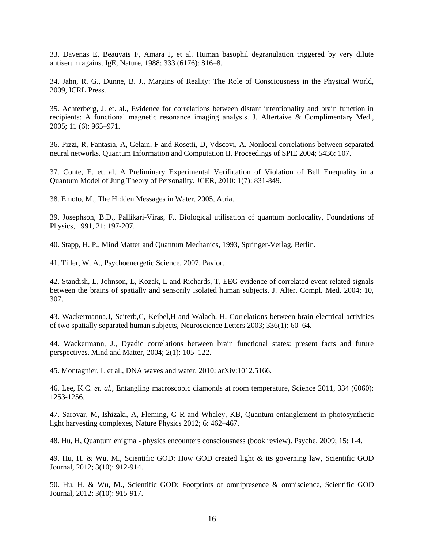33. Davenas E, Beauvais F, Amara J, et al. Human basophil degranulation triggered by very dilute antiserum against IgE, Nature, 1988; 333 (6176): 816–8.

34. Jahn, R. G., Dunne, B. J., Margins of Reality: The Role of Consciousness in the Physical World, 2009, ICRL Press.

35. Achterberg, J. et. al., Evidence for correlations between distant intentionality and brain function in recipients: A functional magnetic resonance imaging analysis. J. Altertaive & Complimentary Med., 2005; 11 (6): 965–971.

36. Pizzi, R, Fantasia, A, Gelain, F and Rosetti, D, Vdscovi, A. Nonlocal correlations between separated neural networks. Quantum Information and Computation II. Proceedings of SPIE 2004; 5436: 107.

37. Conte, E. et. al. A Preliminary Experimental Verification of Violation of Bell Enequality in a Quantum Model of Jung Theory of Personality. JCER, 2010: 1(7): 831-849.

38. Emoto, M., The Hidden Messages in Water, 2005, Atria.

39. Josephson, B.D., Pallikari-Viras, F., Biological utilisation of quantum nonlocality, Foundations of Physics, 1991, 21: 197-207.

40. Stapp, H. P., Mind Matter and Quantum Mechanics, 1993, Springer-Verlag, Berlin.

41. Tiller, W. A., Psychoenergetic Science, 2007, Pavior.

42. Standish, L, Johnson, L, Kozak, L and Richards, T, EEG evidence of correlated event related signals between the brains of spatially and sensorily isolated human subjects. J. Alter. Compl. Med. 2004; 10, 307.

43. Wackermanna,J, Seiterb,C, Keibel,H and Walach, H, Correlations between brain electrical activities of two spatially separated human subjects, Neuroscience Letters 2003; 336(1): 60–64.

44. Wackermann, J., Dyadic correlations between brain functional states: present facts and future perspectives. Mind and Matter, 2004; 2(1): 105–122.

45. Montagnier, L et al., DNA waves and water, 2010; arXiv:1012.5166.

46. Lee, K.C. *et. al.*, Entangling macroscopic diamonds at room temperature, Science 2011, 334 (6060): 1253-1256.

47. Sarovar, M, Ishizaki, A, Fleming, G R and Whaley, KB, Quantum entanglement in photosynthetic light harvesting complexes, Nature Physics 2012; 6: 462–467.

48. Hu, H, Quantum enigma - physics encounters consciousness (book review). Psyche, 2009; 15: 1-4.

49. Hu, H. & Wu, M., Scientific GOD: How GOD created light & its governing law, Scientific GOD Journal, 2012; 3(10): 912-914.

50. Hu, H. & Wu, M., Scientific GOD: Footprints of omnipresence & omniscience, Scientific GOD Journal, 2012; 3(10): 915-917.